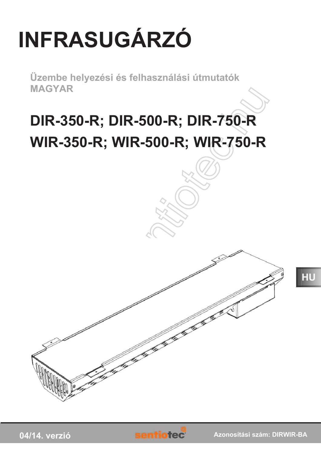## **INFRASUGÁRZÓ**

Üzembe helyezési és felhasználási útmutatók **MAGYAR** 

### DIR-350-R; DIR-500-R; DIR-750-R WIR-350-R; WIR-500-R; WIR-750-R

HU

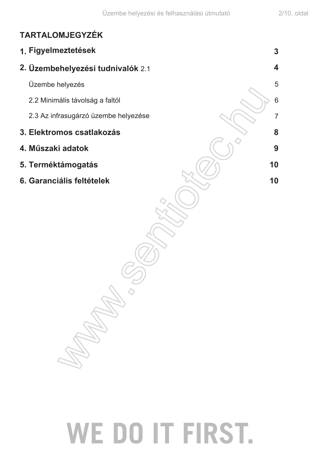$\overline{3}$ 

4

5

6

 $\overline{7}$ 

8

9

10

10

### **TARTALOMJEGYZÉK**

1. Figyelmeztetések 2. Üzembehelyezési tudnivalók 2.1 Üzembe helyezés 2.2 Minimális távolság a faltól 2.3 Az infrasugárzó üzembe helyezése 3. Elektromos csatlakozás 4. Műszaki adatok 5. Terméktámogatás 6. Garanciális feltételek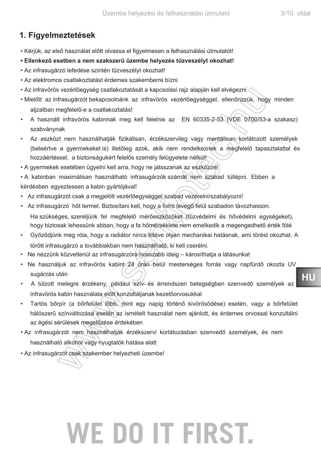### 1. Figyelmeztetések

- · Kérjük, az első használat előtt olvassa el figyelmesen a felhasználási útmutatót!
- Ellenkező esetben a nem szakszerű üzembe helyezés tűzveszélyt okozhat!
- · Az infrasugárzó lefedése szintén tűzveszélyt okozhat!
- · Az elektromos csatlakoztatást érdemes szakemberre bízni
- Az infravörös vezérlőegység csatlakoztatását a kapcsolási rajz alapján kell elvégezni
- · Mielőtt az infrasugárzót bekapcsolnánk az infravörös vezérlőegységgel, ellenőrizzük, hogy minden alizatban megfelelő-e a csatlakoztatás!
- A használt infravörös kabinnak meg kell felelnie az EN 60335-2-53 (VDE 0700/53-a szakasz) szabványnak
- Az eszközt nem használhatják fizikálisan, érzékszervileg vagy mentálisan korlátozott személyek (beleértve a gyermekeket is) illetőleg azok, akik nem rendelkeznek a megfelelő tapasztalattal és hozzáértéssel, a biztonságukért felelős személy felügyelete nélkül!
- A gyermekek esetében ügyelni kell arra, hogy ne játsszanak az eszközzel
- A kabinban maximálisan használható infrasugárzók számát nem szabad túllépni. Ebben a kérdésben egyeztessen a kabin gyártójával!
- · Az infrasugárzót csak a megjelölt vezérlőegységgel szabad vezérelni/szabályozni!
- · Az infrasugárzó hőt termel. Biztosítani kell, hogy a forró levegő felül szabadon távozhasson. Ha szükséges, szereljünk fel megfelelő mérőeszközöket (tűzvédelmi és hővédelmi egységeket), hogy biztosak lehessünk abban, hogy a fa hőmérséklete nem emelkedik a megengedhető érték fölé
- Győződjünk meg róla, hogy a radiátor nincs kitéve olyan mechanikai hatásnak, ami törést okozhat. A törött infrasugárzó a továbbiakban nem használható, ki kell cserélni.
- · Ne nézzünk közvetlenül az infrasugárzóra hosszabb ideig károsíthatja a látásunkat
- · Ne használjuk az infravörös kabint 24 órán belül mesterséges forrás vagy napfürdő okozta UV sugárzás után
- A túlzott melegre érzékeny, például szív- és érrendszeri betegségben szenvedő személyek az infravörös kabin használata előtt konzultáljanak kezelőorvosukkal
- Tartós bőrpír (a bőrfelület több, mint egy napig történő kivörösödése) esetén, vagy a bőrfelület hálószerű színváltozása esetén az ismételt használat nem ajánlott, és érdemes orvossal konzultálni az égési sérülések megelőzése érdekében
- · Az infrasugárzót nem használhatják érzékszervi korlátozásban szenvedő személyek, és nem használható alkohol vagy nyugtatók hatása alatt
- · Az infrasugárzót csak szakember helyezheti üzembe!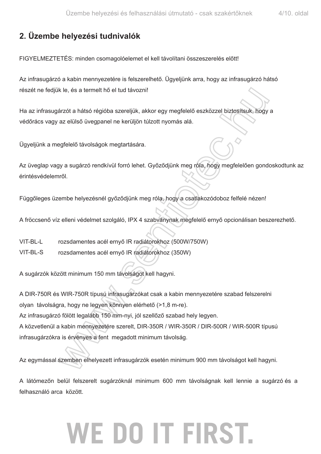### **2. Üzembe helyezési tudnivalók**

FIGYELMEZTETÉS: minden csomagolóelemet el kell távolítani összeszerelés előtt!

Az infrasugárzó a kabin mennyezetére is felszerelhető. Ügyeljünk arra, hogy az infrasugárzó hátsó részét ne fedjük le, és a termelt hő el tud távozni!

Ha az infrasugárzót a hátsó régióba szereljük, akkor egy megfelelő eszközzel biztosítsuk, hogy a védőrács vagy az elülső üvegpanel ne kerüljön túlzott nyomás alá.

Ügyeljünk a megfelelő távolságok megtartására.

Az üveglap vagy a sugárzó rendkívül forró lehet. Győződjünk meg róla, hogy megfelelően gondoskodtunk az érintésvédelemről.

Függőleges üzembe helyezésnél győződjünk meg róla, hogy a csatlakozódoboz felfelé nézen!

A fröccsenő víz elleni védelmet szolgáló, IPX 4 szabványnak megfelelő ernyő opcionálisan beszerezhető.

- VIT-BL-L rozsdamentes acél ernyő IR radiátorokhoz (500W/750W)
- VIT-BL-S rozsdamentes acél ernyő IR radiátorokhoz (350W)

A sugárzók között minimum 150 mm távolságot kell hagyni.

A DIR-750R és WIR-750R típusú infrasugárzókat csak a kabin mennyezetére szabad felszerelni olyan távolságra, hogy ne legyen könnyen elérhető (>1,8 m-re). Az infrasugárzó fölött legalább 150 mm-nyi, jól szellőző szabad hely legyen. A közvetlenül a kabin mennyezetére szerelt, DIR-350R / WIR-350R / DIR-500R / WIR-500R típusú infrasugárzókra is érvényes a fent megadott minimum távolság.

Az egymással szemben elhelyezett infrasugárzók esetén minimum 900 mm távolságot kell hagyni.

A látómezőn belül felszerelt sugárzóknál minimum 600 mm távolságnak kell lennie a sugárzó és a felhasználó arca között.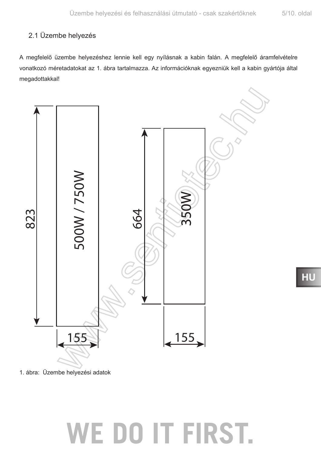#### 2.1 Üzembe helyezés

A megfelelő üzembe helyezéshez lennie kell egy nyílásnak a kabin falán. A megfelelő áramfelvételre vonatkozó méretadatokat az 1. ábra tartalmazza. Az információknak egyezniük kell a kabin gyártója által megadottakkal!



1. ábra: Üzembe helyezési adatok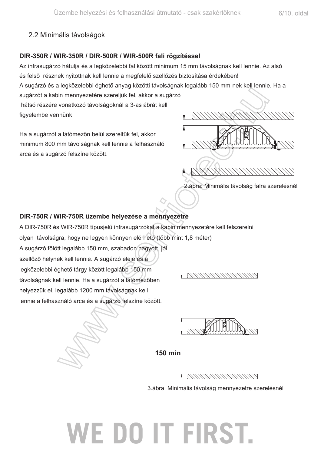#### 2.2 Minimális távolságok

#### DIR-350R / WIR-350R / DIR-500R / WIR-500R fali rögzítéssel

Az infrasugárzó hátulja és a legközelebbi fal között minimum 15 mm távolságnak kell lennie. Az alsó és felső résznek nyitottnak kell lennie a megfelelő szellőzés biztosítása érdekében!

A sugárzó és a legközelebbi éghető anyag közötti távolságnak legalább 150 mm-nek kell lennie. Ha a

sugárzót a kabin mennyezetére szereljük fel, akkor a sugárzó hátsó részére vonatkozó távolságoknál a 3-as ábrát kell figyelembe vennünk.

Ha a sugárzót a látómezőn belül szereltük fel, akkor minimum 800 mm távolságnak kell lennie a felhasználó arca és a sugárzó felszíne között.



2. ábra: Minimális távolság falra szerelésnél

#### DIR-750R / WIR-750R üzembe helyezése a mennyezetre

A DIR-750R és WIR-750R típusjelű infrasugárzókat a kabin mennyezetére kell felszerelni

olyan távolságra, hogy ne legyen könnyen elérhető (több mint 1,8 méter)

A sugárzó fölött legalább 150 mm, szabadon hagyott, jól szellőző helynek kell lennie. A sugárzó eleje és a legközelebbi éghető tárgy között legalább 150 mm

távolságnak kell lennie. Ha a sugárzót a látómezőben helyezzük el, legalább 1200 mm távolságnak kell lennie a felhasználó arca és a sugárzó felszíne között.



WANANNANNAN

3.ábra: Minimális távolság mennyezetre szerelésnél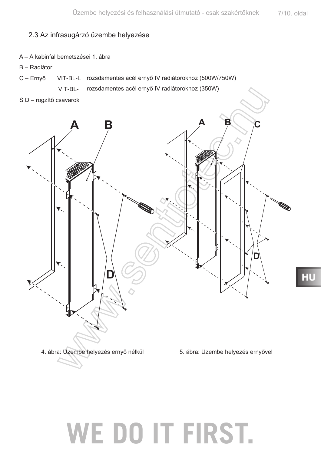#### 2.3 Az infrasugárzó üzembe helyezése

- A A kabinfal bemetszései 1. ábra
- B Radiátor
- VIT-BL-L rozsdamentes acél ernyő IV radiátorokhoz (500W/750W)  $C - Erny$ ő

rozsdamentes acél ernyő IV radiátorokhoz (350W) VIT-BL-

S D - rögzítő csavarok

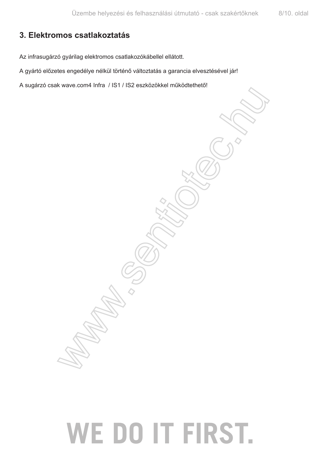### 3. Elektromos csatlakoztatás

Az infrasugárzó gyárilag elektromos csatlakozókábellel ellátott.

A gyártó előzetes engedélye nélkül történő változtatás a garancia elvesztésével jár!

A sugárzó csak wave.com4 Infra / IS1 / IS2 eszközökkel működtethető!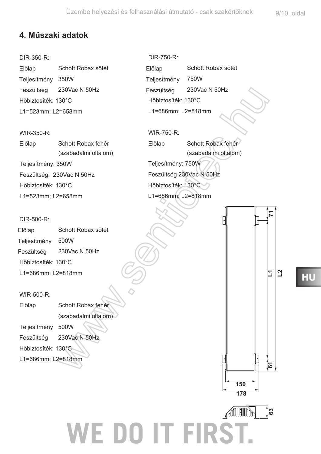### **4. Műszaki adatok**

DIR-350-R:

Schott Robax sötét Teljesítmény 350W Előlap Feszültség 230Vac N 50Hz Hőbiztosíték: 130°C L1=523mm; L2=658mm

WIR-350-R: Előlap Schott Robax fehér (szabadalmi oltalom) Teljesítmény: 350W Feszültség: 230Vac N 50Hz Hőbiztosíték: 130°C L1=523mm; L2=658mm

DIR-500-R:

Schott Robax sötét Teljesítmény 500W 230Vac N 50Hz Hőbiztosíték: 130°C L1=686mm; L2=818mm Előlap Feszültség

WIR-500-R:

Előlap Schott Robax fehér (szabadalmi oltalom) Teljesítmény 500W

Feszültség 230Vac N 50Hz

Hőbiztosíték: 130°C

L1=686mm; L2=818mm

DIR-750-R: Schott Robax sötét : 230Vac N 50Hz Hőbiztosíték: 130°C L1=686mm: L2=818mm Előlap Teljesítmény Feszültség

WIR-750-R: Előlap Schott Robax fehér (szabadalmi oltalom) Teljesítmény: 750W Feszültség 230Vac N 50Hz Hőbiztosíték: 130°C L1=686mm; L2=818mm

**63 71 L1 WE DO IT FIRST.** ်အ

**178 150**

### **+8**

**L2**

2

<u>ති</u>